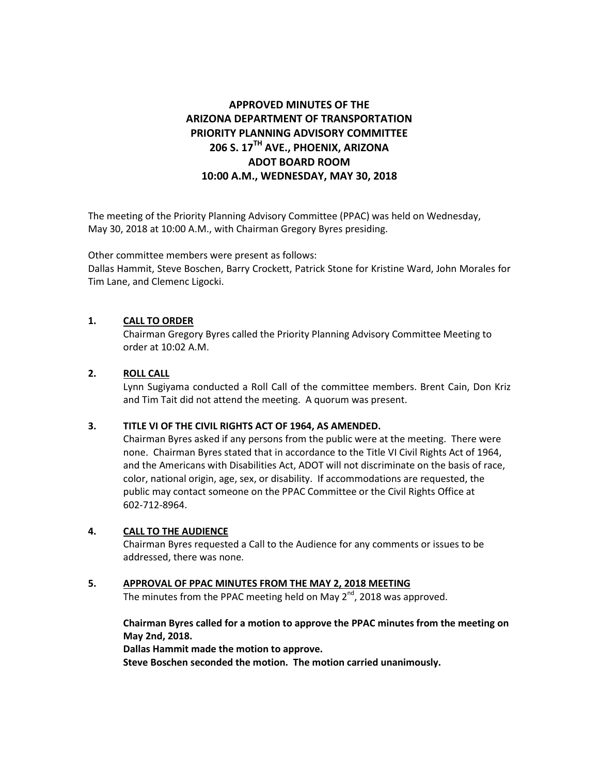# **APPROVED MINUTES OF THE ARIZONA DEPARTMENT OF TRANSPORTATION PRIORITY PLANNING ADVISORY COMMITTEE 206 S. 17TH AVE., PHOENIX, ARIZONA ADOT BOARD ROOM 10:00 A.M., WEDNESDAY, MAY 30, 2018**

The meeting of the Priority Planning Advisory Committee (PPAC) was held on Wednesday, May 30, 2018 at 10:00 A.M., with Chairman Gregory Byres presiding.

Other committee members were present as follows:

Dallas Hammit, Steve Boschen, Barry Crockett, Patrick Stone for Kristine Ward, John Morales for Tim Lane, and Clemenc Ligocki.

## **1. CALL TO ORDER**

Chairman Gregory Byres called the Priority Planning Advisory Committee Meeting to order at 10:02 A.M.

## **2. ROLL CALL**

Lynn Sugiyama conducted a Roll Call of the committee members. Brent Cain, Don Kriz and Tim Tait did not attend the meeting. A quorum was present.

## **3. TITLE VI OF THE CIVIL RIGHTS ACT OF 1964, AS AMENDED.**

Chairman Byres asked if any persons from the public were at the meeting. There were none. Chairman Byres stated that in accordance to the Title VI Civil Rights Act of 1964, and the Americans with Disabilities Act, ADOT will not discriminate on the basis of race, color, national origin, age, sex, or disability. If accommodations are requested, the public may contact someone on the PPAC Committee or the Civil Rights Office at 602-712-8964.

## **4. CALL TO THE AUDIENCE**

Chairman Byres requested a Call to the Audience for any comments or issues to be addressed, there was none.

**5. APPROVAL OF PPAC MINUTES FROM THE MAY 2, 2018 MEETING**

The minutes from the PPAC meeting held on May 2<sup>nd</sup>, 2018 was approved.

## **Chairman Byres called for a motion to approve the PPAC minutes from the meeting on May 2nd, 2018.**

**Dallas Hammit made the motion to approve.**

**Steve Boschen seconded the motion. The motion carried unanimously.**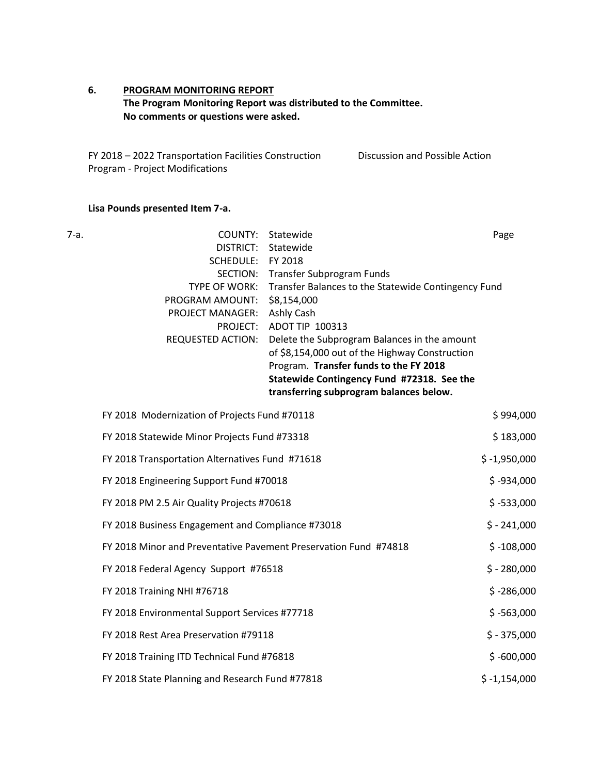## **6. PROGRAM MONITORING REPORT The Program Monitoring Report was distributed to the Committee. No comments or questions were asked.**

FY 2018 – 2022 Transportation Facilities Construction Program - Project Modifications Discussion and Possible Action

## **Lisa Pounds presented Item 7-a.**

| . .<br>× |  |
|----------|--|

| 7-a. | COUNTY:<br><b>DISTRICT:</b><br>SCHEDULE:<br>SECTION:<br>TYPE OF WORK:       | Statewide<br>Statewide<br>FY 2018<br>Transfer Subprogram Funds<br>Transfer Balances to the Statewide Contingency Fund                                                                                                                                                             | Page           |
|------|-----------------------------------------------------------------------------|-----------------------------------------------------------------------------------------------------------------------------------------------------------------------------------------------------------------------------------------------------------------------------------|----------------|
|      | PROGRAM AMOUNT:<br>PROJECT MANAGER:<br>PROJECT:<br><b>REQUESTED ACTION:</b> | \$8,154,000<br>Ashly Cash<br>ADOT TIP 100313<br>Delete the Subprogram Balances in the amount<br>of \$8,154,000 out of the Highway Construction<br>Program. Transfer funds to the FY 2018<br>Statewide Contingency Fund #72318. See the<br>transferring subprogram balances below. |                |
|      | FY 2018 Modernization of Projects Fund #70118                               |                                                                                                                                                                                                                                                                                   | \$994,000      |
|      | FY 2018 Statewide Minor Projects Fund #73318                                |                                                                                                                                                                                                                                                                                   | \$183,000      |
|      | FY 2018 Transportation Alternatives Fund #71618                             |                                                                                                                                                                                                                                                                                   | $$ -1,950,000$ |
|      | FY 2018 Engineering Support Fund #70018                                     |                                                                                                                                                                                                                                                                                   | $$ -934,000$   |
|      | FY 2018 PM 2.5 Air Quality Projects #70618                                  |                                                                                                                                                                                                                                                                                   | $$ -533,000$   |
|      | FY 2018 Business Engagement and Compliance #73018                           |                                                                                                                                                                                                                                                                                   | $$ - 241,000$  |
|      | FY 2018 Minor and Preventative Pavement Preservation Fund #74818            |                                                                                                                                                                                                                                                                                   | $$ -108,000$   |
|      | FY 2018 Federal Agency Support #76518                                       |                                                                                                                                                                                                                                                                                   | $$ - 280,000$  |
|      | FY 2018 Training NHI #76718                                                 |                                                                                                                                                                                                                                                                                   | $$ -286,000$   |
|      | FY 2018 Environmental Support Services #77718                               |                                                                                                                                                                                                                                                                                   | $$ -563,000$   |
|      | FY 2018 Rest Area Preservation #79118                                       |                                                                                                                                                                                                                                                                                   | $$ -375,000$   |
|      | FY 2018 Training ITD Technical Fund #76818                                  |                                                                                                                                                                                                                                                                                   | $$ -600,000$   |
|      | FY 2018 State Planning and Research Fund #77818                             |                                                                                                                                                                                                                                                                                   | $$ -1,154,000$ |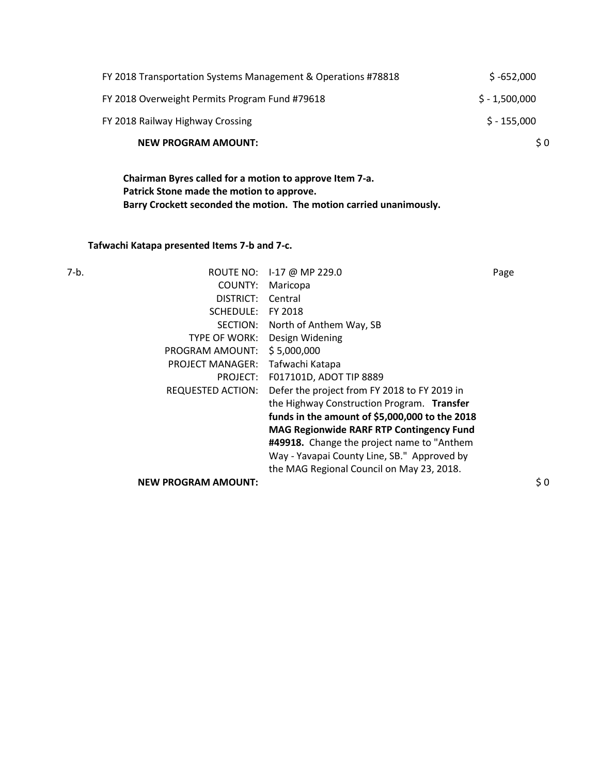| FY 2018 Transportation Systems Management & Operations #78818 | $$ -652,000$   |
|---------------------------------------------------------------|----------------|
| FY 2018 Overweight Permits Program Fund #79618                | $$ -1,500,000$ |
| FY 2018 Railway Highway Crossing                              | $$ -155,000$   |
| <b>NEW PROGRAM AMOUNT:</b>                                    | \$0            |

**Chairman Byres called for a motion to approve Item 7-a. Patrick Stone made the motion to approve. Barry Crockett seconded the motion. The motion carried unanimously.**

**Tafwachi Katapa presented Items 7-b and 7-c.** 

| ROUTE NO:                  |                                                 | Page            |
|----------------------------|-------------------------------------------------|-----------------|
| COUNTY:                    | Maricopa                                        |                 |
| DISTRICT:                  | Central                                         |                 |
| SCHEDULE:                  | FY 2018                                         |                 |
| SECTION:                   | North of Anthem Way, SB                         |                 |
| TYPE OF WORK:              | Design Widening                                 |                 |
| PROGRAM AMOUNT:            | \$5,000,000                                     |                 |
| <b>PROJECT MANAGER:</b>    | Tafwachi Katapa                                 |                 |
| PROJECT:                   | F017101D, ADOT TIP 8889                         |                 |
| <b>REQUESTED ACTION:</b>   | Defer the project from FY 2018 to FY 2019 in    |                 |
|                            | the Highway Construction Program. Transfer      |                 |
|                            | funds in the amount of \$5,000,000 to the 2018  |                 |
|                            | <b>MAG Regionwide RARF RTP Contingency Fund</b> |                 |
|                            | #49918. Change the project name to "Anthem"     |                 |
|                            | Way - Yavapai County Line, SB." Approved by     |                 |
|                            | the MAG Regional Council on May 23, 2018.       |                 |
| <b>NEW PROGRAM AMOUNT:</b> |                                                 | $\frac{1}{2}$ 0 |
|                            |                                                 | I-17 @ MP 229.0 |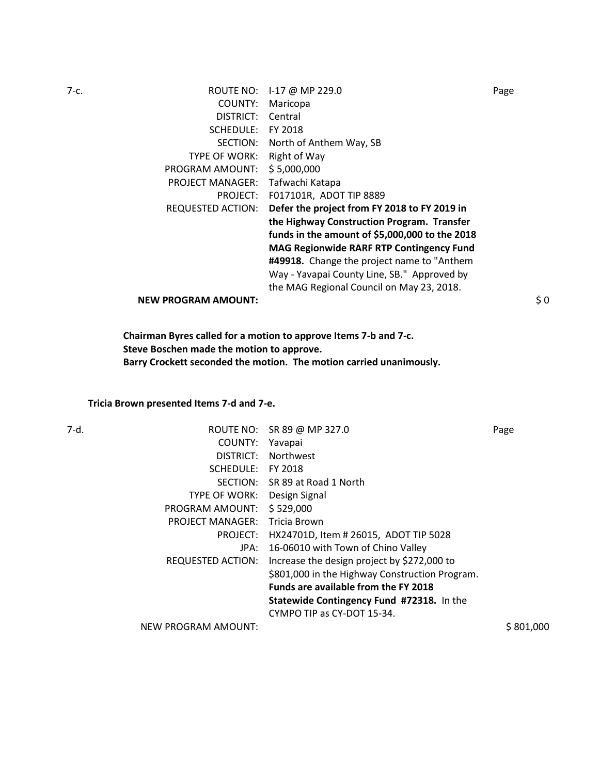7-c. ROUTE NO: I-17 @ MP 229.0 Page COUNTY: Maricopa DISTRICT: Central SCHEDULE: FY 2018 SECTION: North of Anthem Way, SB TYPE OF WORK: Right of Way PROGRAM AMOUNT: \$ 5,000,000 PROJECT MANAGER: Tafwachi Katapa PROJECT: F017101R, ADOT TIP 8889 REQUESTED ACTION: **Defer the project from FY 2018 to FY 2019 in the Highway Construction Program. Transfer funds in the amount of \$5,000,000 to the 2018 MAG Regionwide RARF RTP Contingency Fund #49918.** Change the project name to "Anthem Way - Yavapai County Line, SB." Approved by the MAG Regional Council on May 23, 2018. **NEW PROGRAM AMOUNT:**  $\begin{array}{ccc} 50 & 0 & 0 \\ 0 & 0 & 0 \\ 0 & 0 & 0 \\ 0 & 0 & 0 \\ 0 & 0 & 0 \\ \end{array}$ 

> **Chairman Byres called for a motion to approve Items 7-b and 7-c. Steve Boschen made the motion to approve. Barry Crockett seconded the motion. The motion carried unanimously.**

#### **Tricia Brown presented Items 7-d and 7-e.**

| 7-d. |                         | ROUTE NO: SR 89 @ MP 327.0                     | Page      |
|------|-------------------------|------------------------------------------------|-----------|
|      | COUNTY:                 | Yavapai                                        |           |
|      | DISTRICT:               | Northwest                                      |           |
|      | SCHEDULE:               | FY 2018                                        |           |
|      |                         | SECTION: SR 89 at Road 1 North                 |           |
|      | <b>TYPE OF WORK:</b>    | Design Signal                                  |           |
|      | PROGRAM AMOUNT:         | \$529,000                                      |           |
|      | <b>PROJECT MANAGER:</b> | Tricia Brown                                   |           |
|      | PROJECT:                | HX24701D, Item # 26015, ADOT TIP 5028          |           |
|      | JPA:                    | 16-06010 with Town of Chino Valley             |           |
|      | REQUESTED ACTION:       | Increase the design project by \$272,000 to    |           |
|      |                         | \$801,000 in the Highway Construction Program. |           |
|      |                         | <b>Funds are available from the FY 2018</b>    |           |
|      |                         | Statewide Contingency Fund #72318. In the      |           |
|      |                         | CYMPO TIP as CY-DOT 15-34.                     |           |
|      | NEW PROGRAM AMOUNT:     |                                                | \$801,000 |
|      |                         |                                                |           |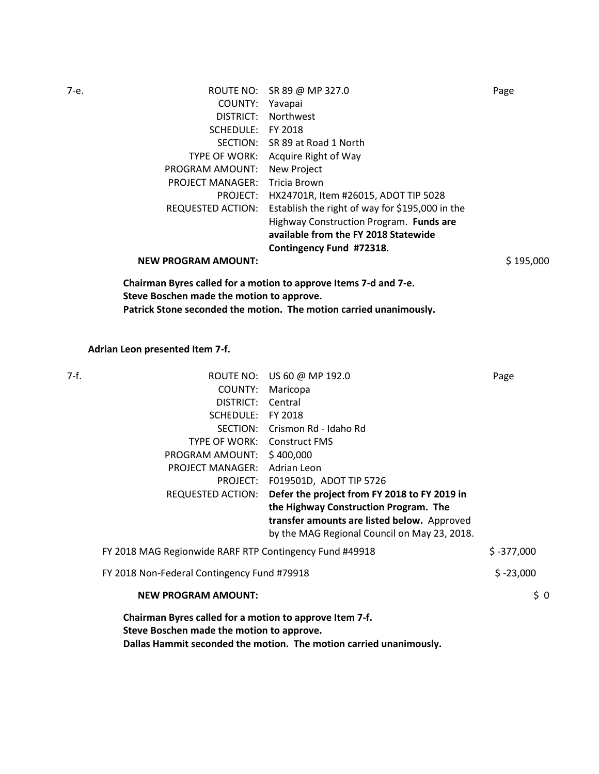| 7-е. |                            | ROUTE NO: SR 89 @ MP 327.0                      | Page      |
|------|----------------------------|-------------------------------------------------|-----------|
|      | COUNTY:                    | Yavapai                                         |           |
|      | DISTRICT:                  | Northwest                                       |           |
|      | SCHEDULE:                  | FY 2018                                         |           |
|      | SECTION:                   | SR 89 at Road 1 North                           |           |
|      | TYPE OF WORK:              | Acquire Right of Way                            |           |
|      | PROGRAM AMOUNT:            | <b>New Project</b>                              |           |
|      | <b>PROJECT MANAGER:</b>    | Tricia Brown                                    |           |
|      | PROJECT:                   | HX24701R, Item #26015, ADOT TIP 5028            |           |
|      | REQUESTED ACTION:          | Establish the right of way for \$195,000 in the |           |
|      |                            | Highway Construction Program. Funds are         |           |
|      |                            | available from the FY 2018 Statewide            |           |
|      |                            | Contingency Fund #72318.                        |           |
|      | <b>NEW PROGRAM AMOUNT:</b> |                                                 | \$195,000 |
|      |                            |                                                 |           |

**Chairman Byres called for a motion to approve Items 7-d and 7-e. Steve Boschen made the motion to approve. Patrick Stone seconded the motion. The motion carried unanimously.**

**Adrian Leon presented Item 7-f.** 

| 7-f. |                                                         | ROUTE NO: US 60 @ MP 192.0                                         | Page         |
|------|---------------------------------------------------------|--------------------------------------------------------------------|--------------|
|      | COUNTY:                                                 | Maricopa                                                           |              |
|      | DISTRICT:                                               | Central                                                            |              |
|      | SCHEDULE: FY 2018                                       |                                                                    |              |
|      | SECTION:                                                | Crismon Rd - Idaho Rd                                              |              |
|      | TYPE OF WORK:                                           | <b>Construct FMS</b>                                               |              |
|      | PROGRAM AMOUNT: \$400,000                               |                                                                    |              |
|      | <b>PROJECT MANAGER:</b>                                 | Adrian Leon                                                        |              |
|      |                                                         | PROJECT: F019501D, ADOT TIP 5726                                   |              |
|      | REQUESTED ACTION:                                       | Defer the project from FY 2018 to FY 2019 in                       |              |
|      |                                                         | the Highway Construction Program. The                              |              |
|      |                                                         | transfer amounts are listed below. Approved                        |              |
|      |                                                         | by the MAG Regional Council on May 23, 2018.                       |              |
|      | FY 2018 MAG Regionwide RARF RTP Contingency Fund #49918 |                                                                    | $$ -377,000$ |
|      | FY 2018 Non-Federal Contingency Fund #79918             |                                                                    | $$ -23,000$  |
|      | <b>NEW PROGRAM AMOUNT:</b>                              |                                                                    | \$0          |
|      | Chairman Byres called for a motion to approve Item 7-f. |                                                                    |              |
|      | Steve Boschen made the motion to approve.               |                                                                    |              |
|      |                                                         | Dallas Hammit seconded the motion. The motion carried unanimously. |              |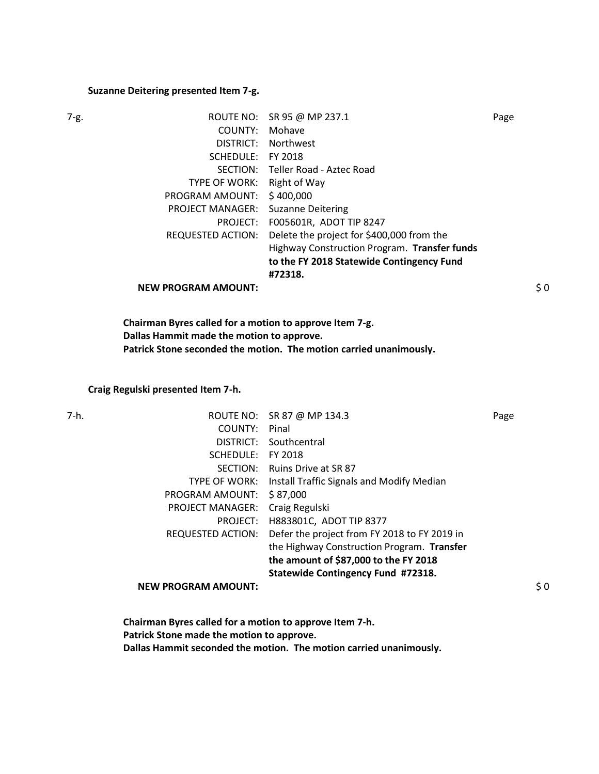#### **Suzanne Deitering presented Item 7-g.**

|--|--|

| 7-g. |                            | ROUTE NO: SR 95 @ MP 237.1                   | Page           |
|------|----------------------------|----------------------------------------------|----------------|
|      | COUNTY:                    | Mohave                                       |                |
|      | DISTRICT:                  | <b>Northwest</b>                             |                |
|      | SCHEDULE:                  | FY 2018                                      |                |
|      | SECTION:                   | Teller Road - Aztec Road                     |                |
|      | TYPE OF WORK:              | Right of Way                                 |                |
|      | PROGRAM AMOUNT:            | \$400,000                                    |                |
|      | <b>PROJECT MANAGER:</b>    | <b>Suzanne Deitering</b>                     |                |
|      | PROJECT:                   | F005601R, ADOT TIP 8247                      |                |
|      | REQUESTED ACTION:          | Delete the project for \$400,000 from the    |                |
|      |                            | Highway Construction Program. Transfer funds |                |
|      |                            | to the FY 2018 Statewide Contingency Fund    |                |
|      |                            | #72318.                                      |                |
|      | <b>NEW PROGRAM AMOUNT:</b> |                                              | $\frac{1}{2}0$ |

**Chairman Byres called for a motion to approve Item 7-g. Dallas Hammit made the motion to approve. Patrick Stone seconded the motion. The motion carried unanimously.**

#### **Craig Regulski presented Item 7-h.**

| 7-h. |                            | ROUTE NO: SR 87 @ MP 134.3                   | Page            |
|------|----------------------------|----------------------------------------------|-----------------|
|      | COUNTY:                    | Pinal                                        |                 |
|      | DISTRICT:                  | Southcentral                                 |                 |
|      | SCHEDULE:                  | FY 2018                                      |                 |
|      | SECTION:                   | <b>Ruins Drive at SR 87</b>                  |                 |
|      | <b>TYPE OF WORK:</b>       | Install Traffic Signals and Modify Median    |                 |
|      | PROGRAM AMOUNT:            | \$87,000                                     |                 |
|      | <b>PROJECT MANAGER:</b>    | Craig Regulski                               |                 |
|      | PROJECT:                   | H883801C, ADOT TIP 8377                      |                 |
|      | <b>REQUESTED ACTION:</b>   | Defer the project from FY 2018 to FY 2019 in |                 |
|      |                            | the Highway Construction Program. Transfer   |                 |
|      |                            | the amount of \$87,000 to the FY 2018        |                 |
|      |                            | Statewide Contingency Fund #72318.           |                 |
|      | <b>NEW PROGRAM AMOUNT:</b> |                                              | $\frac{1}{2}$ 0 |
|      |                            |                                              |                 |

**Chairman Byres called for a motion to approve Item 7-h. Patrick Stone made the motion to approve. Dallas Hammit seconded the motion. The motion carried unanimously.**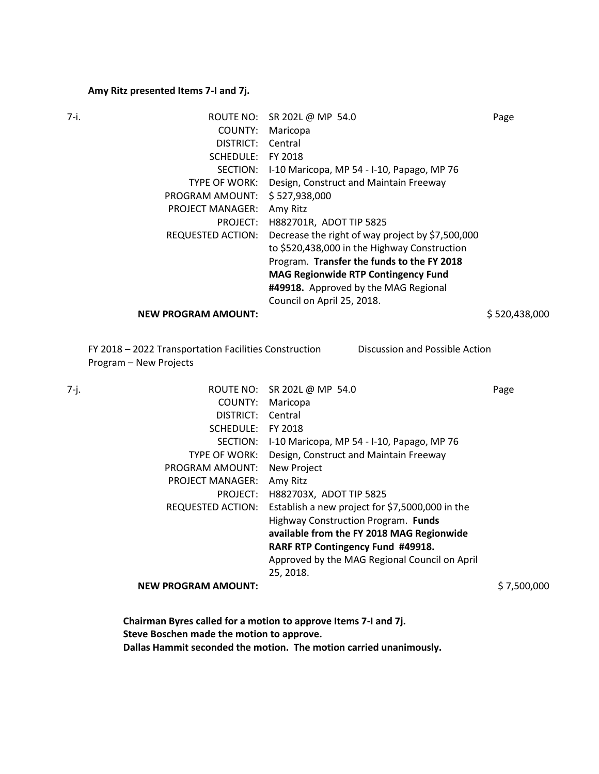## **Amy Ritz presented Items 7-I and 7j.**

| 7-i. | ROUTE NO:                  | SR 202L @ MP 54.0                                | Page          |
|------|----------------------------|--------------------------------------------------|---------------|
|      | COUNTY:                    | Maricopa                                         |               |
|      | DISTRICT:                  | Central                                          |               |
|      | SCHEDULE:                  | FY 2018                                          |               |
|      | SECTION:                   | I-10 Maricopa, MP 54 - I-10, Papago, MP 76       |               |
|      | TYPE OF WORK:              | Design, Construct and Maintain Freeway           |               |
|      | PROGRAM AMOUNT:            | \$527,938,000                                    |               |
|      | <b>PROJECT MANAGER:</b>    | Amy Ritz                                         |               |
|      | PROJECT:                   | H882701R, ADOT TIP 5825                          |               |
|      | <b>REQUESTED ACTION:</b>   | Decrease the right of way project by \$7,500,000 |               |
|      |                            | to \$520,438,000 in the Highway Construction     |               |
|      |                            | Program. Transfer the funds to the FY 2018       |               |
|      |                            | <b>MAG Regionwide RTP Contingency Fund</b>       |               |
|      |                            | #49918. Approved by the MAG Regional             |               |
|      |                            | Council on April 25, 2018.                       |               |
|      | <b>NEW PROGRAM AMOUNT:</b> |                                                  | \$520,438,000 |
|      |                            |                                                  |               |

FY 2018 – 2022 Transportation Facilities Construction Program – New Projects Discussion and Possible Action

| ROUTE NO: SR 202L @ MP 54.0                     | Page        |
|-------------------------------------------------|-------------|
| Maricopa                                        |             |
| Central                                         |             |
| FY 2018                                         |             |
| I-10 Maricopa, MP 54 - I-10, Papago, MP 76      |             |
| Design, Construct and Maintain Freeway          |             |
| <b>New Project</b>                              |             |
| Amy Ritz                                        |             |
| H882703X, ADOT TIP 5825                         |             |
| Establish a new project for \$7,5000,000 in the |             |
| Highway Construction Program. Funds             |             |
| available from the FY 2018 MAG Regionwide       |             |
| RARF RTP Contingency Fund #49918.               |             |
| Approved by the MAG Regional Council on April   |             |
| 25, 2018.                                       |             |
|                                                 | \$7,500,000 |
|                                                 |             |

| Chairman Byres called for a motion to approve Items 7-I and 7j.    |
|--------------------------------------------------------------------|
| Steve Boschen made the motion to approve.                          |
| Dallas Hammit seconded the motion. The motion carried unanimously. |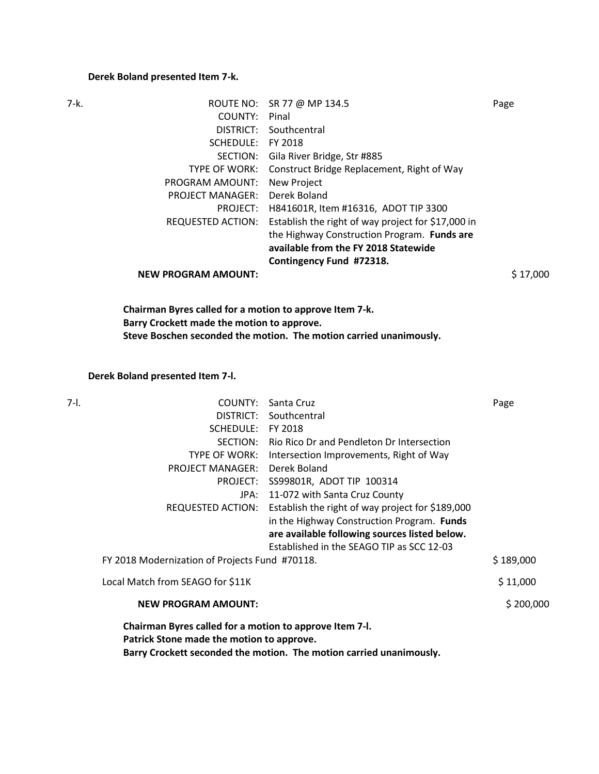## **Derek Boland presented Item 7-k.**

| 7-k. |                            | ROUTE NO: SR 77 @ MP 134.5                         | Page     |
|------|----------------------------|----------------------------------------------------|----------|
|      | COUNTY:                    | Pinal                                              |          |
|      | DISTRICT:                  | Southcentral                                       |          |
|      | SCHEDULE:                  | FY 2018                                            |          |
|      | SECTION:                   | Gila River Bridge, Str #885                        |          |
|      | <b>TYPE OF WORK:</b>       | Construct Bridge Replacement, Right of Way         |          |
|      | PROGRAM AMOUNT:            | New Project                                        |          |
|      | <b>PROJECT MANAGER:</b>    | Derek Boland                                       |          |
|      | PROJECT:                   | H841601R, Item #16316, ADOT TIP 3300               |          |
|      | REQUESTED ACTION:          | Establish the right of way project for \$17,000 in |          |
|      |                            | the Highway Construction Program. Funds are        |          |
|      |                            | available from the FY 2018 Statewide               |          |
|      |                            | Contingency Fund #72318.                           |          |
|      | <b>NEW PROGRAM AMOUNT:</b> |                                                    | \$17,000 |
|      |                            |                                                    |          |

**Chairman Byres called for a motion to approve Item 7-k. Barry Crockett made the motion to approve. Steve Boschen seconded the motion. The motion carried unanimously.**

**Derek Boland presented Item 7-l.** 

| COUNTY:                                        | Santa Cruz                                       | Page                                                                                                                                                                                                                           |
|------------------------------------------------|--------------------------------------------------|--------------------------------------------------------------------------------------------------------------------------------------------------------------------------------------------------------------------------------|
| DISTRICT:                                      | Southcentral                                     |                                                                                                                                                                                                                                |
|                                                | FY 2018                                          |                                                                                                                                                                                                                                |
| SECTION:                                       | Rio Rico Dr and Pendleton Dr Intersection        |                                                                                                                                                                                                                                |
| <b>TYPE OF WORK:</b>                           | Intersection Improvements, Right of Way          |                                                                                                                                                                                                                                |
| <b>PROJECT MANAGER:</b>                        | Derek Boland                                     |                                                                                                                                                                                                                                |
|                                                |                                                  |                                                                                                                                                                                                                                |
| JPA:                                           | 11-072 with Santa Cruz County                    |                                                                                                                                                                                                                                |
| REQUESTED ACTION:                              | Establish the right of way project for \$189,000 |                                                                                                                                                                                                                                |
|                                                | in the Highway Construction Program. Funds       |                                                                                                                                                                                                                                |
|                                                | are available following sources listed below.    |                                                                                                                                                                                                                                |
|                                                | Established in the SEAGO TIP as SCC 12-03        |                                                                                                                                                                                                                                |
| FY 2018 Modernization of Projects Fund #70118. |                                                  | \$189,000                                                                                                                                                                                                                      |
| Local Match from SEAGO for \$11K               |                                                  | \$11,000                                                                                                                                                                                                                       |
| <b>NEW PROGRAM AMOUNT:</b>                     |                                                  | \$200,000                                                                                                                                                                                                                      |
|                                                |                                                  |                                                                                                                                                                                                                                |
|                                                |                                                  |                                                                                                                                                                                                                                |
|                                                |                                                  |                                                                                                                                                                                                                                |
|                                                |                                                  | SCHEDULE:<br>PROJECT: SS99801R, ADOT TIP 100314<br>Chairman Byres called for a motion to approve Item 7-I.<br>Patrick Stone made the motion to approve.<br>Barry Crockett seconded the motion. The motion carried unanimously. |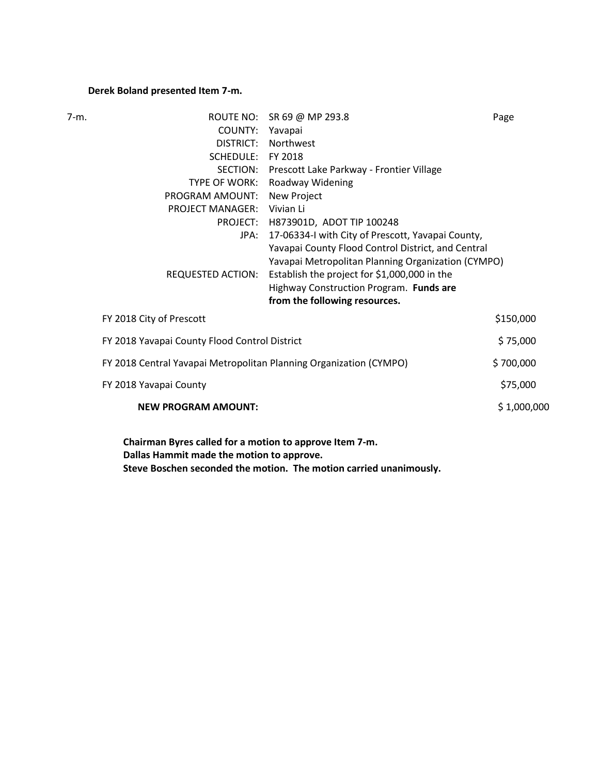## **Derek Boland presented Item 7-m.**

| $7-m.$ |                                                                    | ROUTE NO: SR 69 @ MP 293.8                                     | Page        |
|--------|--------------------------------------------------------------------|----------------------------------------------------------------|-------------|
|        | COUNTY: Yavapai                                                    |                                                                |             |
|        | DISTRICT:                                                          | <b>Northwest</b>                                               |             |
|        | SCHEDULE: FY 2018                                                  |                                                                |             |
|        |                                                                    | SECTION: Prescott Lake Parkway - Frontier Village              |             |
|        |                                                                    | TYPE OF WORK: Roadway Widening                                 |             |
|        | PROGRAM AMOUNT: New Project                                        |                                                                |             |
|        | <b>PROJECT MANAGER:</b>                                            | Vivian Li                                                      |             |
|        |                                                                    | PROJECT: H873901D, ADOT TIP 100248                             |             |
|        | JPA:                                                               | 17-06334-I with City of Prescott, Yavapai County,              |             |
|        |                                                                    | Yavapai County Flood Control District, and Central             |             |
|        |                                                                    | Yavapai Metropolitan Planning Organization (CYMPO)             |             |
|        |                                                                    | REQUESTED ACTION: Establish the project for \$1,000,000 in the |             |
|        |                                                                    | Highway Construction Program. Funds are                        |             |
|        |                                                                    | from the following resources.                                  |             |
|        | FY 2018 City of Prescott                                           |                                                                | \$150,000   |
|        | FY 2018 Yavapai County Flood Control District                      |                                                                | \$75,000    |
|        | FY 2018 Central Yavapai Metropolitan Planning Organization (CYMPO) |                                                                | \$700,000   |
|        | FY 2018 Yavapai County                                             |                                                                | \$75,000    |
|        | <b>NEW PROGRAM AMOUNT:</b>                                         |                                                                | \$1,000,000 |
|        |                                                                    |                                                                |             |

**Chairman Byres called for a motion to approve Item 7-m. Dallas Hammit made the motion to approve. Steve Boschen seconded the motion. The motion carried unanimously.**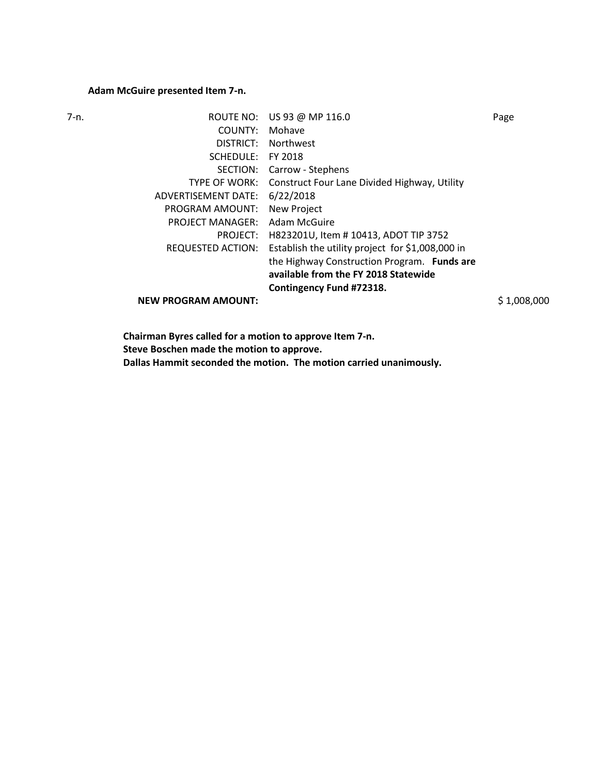## **Adam McGuire presented Item 7-n.**

| ROUTE NO:                  |                                                  | Page             |
|----------------------------|--------------------------------------------------|------------------|
| COUNTY:                    | Mohave                                           |                  |
| DISTRICT:                  | <b>Northwest</b>                                 |                  |
| SCHEDULE:                  | FY 2018                                          |                  |
| SECTION:                   | Carrow - Stephens                                |                  |
| <b>TYPE OF WORK:</b>       | Construct Four Lane Divided Highway, Utility     |                  |
| ADVERTISEMENT DATE:        | 6/22/2018                                        |                  |
| PROGRAM AMOUNT:            | New Project                                      |                  |
| <b>PROJECT MANAGER:</b>    | Adam McGuire                                     |                  |
| PROJECT:                   | H823201U, Item #10413, ADOT TIP 3752             |                  |
| <b>REQUESTED ACTION:</b>   | Establish the utility project for \$1,008,000 in |                  |
|                            | the Highway Construction Program. Funds are      |                  |
|                            | available from the FY 2018 Statewide             |                  |
|                            | Contingency Fund #72318.                         |                  |
| <b>NEW PROGRAM AMOUNT:</b> |                                                  | \$1,008,000      |
|                            |                                                  | US 93 @ MP 116.0 |

**Chairman Byres called for a motion to approve Item 7-n. Steve Boschen made the motion to approve. Dallas Hammit seconded the motion. The motion carried unanimously.**